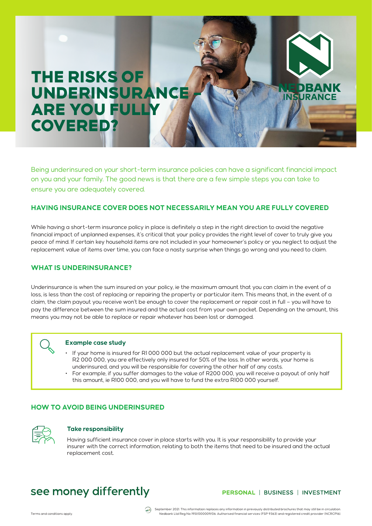# THE RISKS OF UNDERINSURANCE ARE YOU FULLY COVERED?

Being underinsured on your short-term insurance policies can have a significant financial impact on you and your family. The good news is that there are a few simple steps you can take to ensure you are adequately covered.

### **HAVING INSURANCE COVER DOES NOT NECESSARILY MEAN YOU ARE FULLY COVERED**

While having a short-term insurance policy in place is definitely a step in the right direction to avoid the negative financial impact of unplanned expenses, it's critical that your policy provides the right level of cover to truly give you peace of mind. If certain key household items are not included in your homeowner's policy or you neglect to adjust the replacement value of items over time, you can face a nasty surprise when things go wrong and you need to claim.

# **WHAT IS UNDERINSURANCE?**

Underinsurance is when the sum insured on your policy, ie the maximum amount that you can claim in the event of a loss, is less than the cost of replacing or repairing the property or particular item. This means that, in the event of a claim, the claim payout you receive won't be enough to cover the replacement or repair cost in full – you will have to pay the difference between the sum insured and the actual cost from your own pocket. Depending on the amount, this means you may not be able to replace or repair whatever has been lost or damaged.

#### **Example case study**

- If your home is insured for R1 000 000 but the actual replacement value of your property is R2 000 000, you are effectively only insured for 50% of the loss. In other words, your home is underinsured, and you will be responsible for covering the other half of any costs.
- For example, if you suffer damages to the value of R200 000, you will receive a payout of only half this amount, ie R100 000, and you will have to fund the extra R100 000 yourself.

# **HOW TO AVOID BEING UNDERINSURED**



#### **Take responsibility**

Having sufficient insurance cover in place starts with you. It is your responsibility to provide your insurer with the correct information, relating to both the items that need to be insured and the actual replacement cost.

# see money differently

#### PERSONAL | BUSINESS | INVESTMENT

**INSURANO**